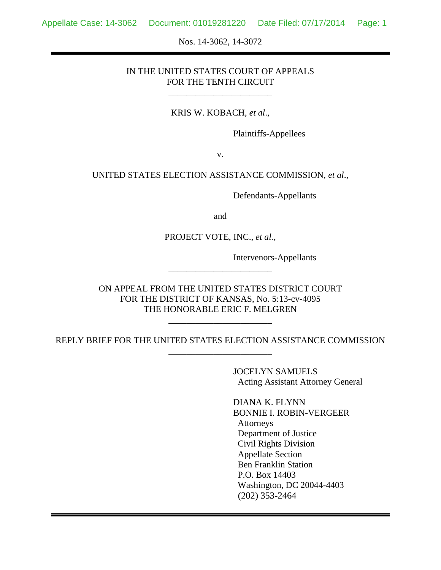Nos. 14-3062, 14-3072

### IN THE UNITED STATES COURT OF APPEALS FOR THE TENTH CIRCUIT

\_\_\_\_\_\_\_\_\_\_\_\_\_\_\_\_\_\_\_\_\_\_\_

#### KRIS W. KOBACH, *et al*.,

Plaintiffs-Appellees

v.

#### UNITED STATES ELECTION ASSISTANCE COMMISSION, *et al*.,

Defendants-Appellants

and

PROJECT VOTE, INC., *et al.*,

Intervenors-Appellants

ON APPEAL FROM THE UNITED STATES DISTRICT COURT FOR THE DISTRICT OF KANSAS, No. 5:13-cv-4095 THE HONORABLE ERIC F. MELGREN

\_\_\_\_\_\_\_\_\_\_\_\_\_\_\_\_\_\_\_\_\_\_\_

REPLY BRIEF FOR THE UNITED STATES ELECTION ASSISTANCE COMMISSION \_\_\_\_\_\_\_\_\_\_\_\_\_\_\_\_\_\_\_\_\_\_\_

\_\_\_\_\_\_\_\_\_\_\_\_\_\_\_\_\_\_\_\_\_\_\_

 JOCELYN SAMUELS Acting Assistant Attorney General

 DIANA K. FLYNN BONNIE I. ROBIN-VERGEER Attorneys Department of Justice Civil Rights Division Appellate Section Ben Franklin Station P.O. Box 14403 Washington, DC 20044-4403 (202) 353-2464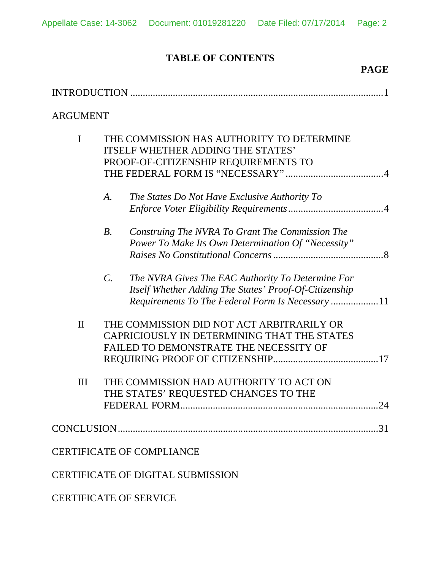# **TABLE OF CONTENTS**

## **PAGE**

| <b>ARGUMENT</b> |                                                                                                                               |                                                                                                                                                                 |  |  |
|-----------------|-------------------------------------------------------------------------------------------------------------------------------|-----------------------------------------------------------------------------------------------------------------------------------------------------------------|--|--|
| $\mathbf I$     | THE COMMISSION HAS AUTHORITY TO DETERMINE<br><b>ITSELF WHETHER ADDING THE STATES'</b><br>PROOF-OF-CITIZENSHIP REQUIREMENTS TO |                                                                                                                                                                 |  |  |
|                 | A.                                                                                                                            | The States Do Not Have Exclusive Authority To                                                                                                                   |  |  |
|                 | $B$ .                                                                                                                         | Construing The NVRA To Grant The Commission The<br>Power To Make Its Own Determination Of "Necessity"                                                           |  |  |
|                 | $\mathcal{C}$ .                                                                                                               | The NVRA Gives The EAC Authority To Determine For<br>Itself Whether Adding The States' Proof-Of-Citizenship<br>Requirements To The Federal Form Is Necessary 11 |  |  |
| $\mathbf{I}$    |                                                                                                                               | THE COMMISSION DID NOT ACT ARBITRARILY OR<br>CAPRICIOUSLY IN DETERMINING THAT THE STATES<br>FAILED TO DEMONSTRATE THE NECESSITY OF                              |  |  |
| III             |                                                                                                                               | THE COMMISSION HAD AUTHORITY TO ACT ON<br>THE STATES' REQUESTED CHANGES TO THE<br>24<br>FEDERAL FORM.                                                           |  |  |
|                 |                                                                                                                               | .31                                                                                                                                                             |  |  |
|                 |                                                                                                                               | <b>CERTIFICATE OF COMPLIANCE</b>                                                                                                                                |  |  |
|                 |                                                                                                                               | <b>CERTIFICATE OF DIGITAL SUBMISSION</b>                                                                                                                        |  |  |
|                 |                                                                                                                               | <b>CERTIFICATE OF SERVICE</b>                                                                                                                                   |  |  |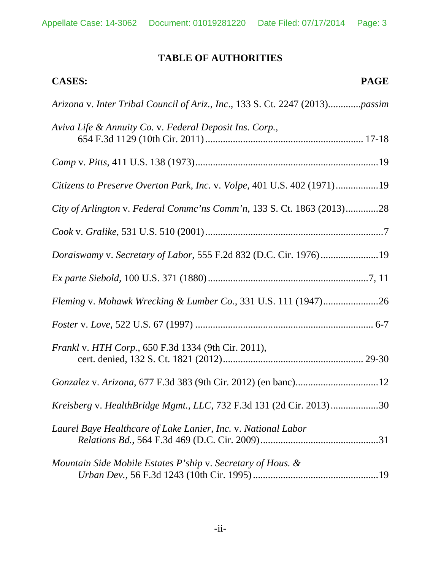# **TABLE OF AUTHORITIES**

| <b>PAGE</b><br><b>CASES:</b>                                                 |
|------------------------------------------------------------------------------|
| Arizona v. Inter Tribal Council of Ariz., Inc., 133 S. Ct. 2247 (2013)passim |
| Aviva Life & Annuity Co. v. Federal Deposit Ins. Corp.,                      |
|                                                                              |
| Citizens to Preserve Overton Park, Inc. v. Volpe, 401 U.S. 402 (1971)19      |
| City of Arlington v. Federal Commc'ns Comm'n, 133 S. Ct. 1863 (2013)28       |
|                                                                              |
| Doraiswamy v. Secretary of Labor, 555 F.2d 832 (D.C. Cir. 1976)19            |
|                                                                              |
|                                                                              |
|                                                                              |
| Frankl v. HTH Corp., 650 F.3d 1334 (9th Cir. 2011),                          |
|                                                                              |
| Kreisberg v. HealthBridge Mgmt., LLC, 732 F.3d 131 (2d Cir. 2013)30          |
| Laurel Baye Healthcare of Lake Lanier, Inc. v. National Labor                |
| Mountain Side Mobile Estates P'ship v. Secretary of Hous. &                  |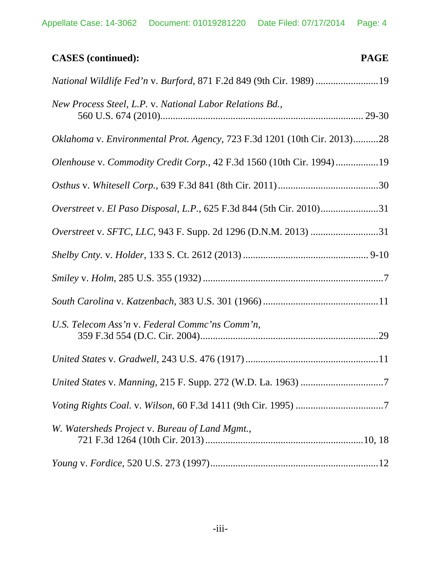| <b>PAGE</b><br><b>CASES</b> (continued):                                 |
|--------------------------------------------------------------------------|
| National Wildlife Fed'n v. Burford, 871 F.2d 849 (9th Cir. 1989) 19      |
| New Process Steel, L.P. v. National Labor Relations Bd.,                 |
| Oklahoma v. Environmental Prot. Agency, 723 F.3d 1201 (10th Cir. 2013)28 |
| Olenhouse v. Commodity Credit Corp., 42 F.3d 1560 (10th Cir. 1994)19     |
|                                                                          |
| Overstreet v. El Paso Disposal, L.P., 625 F.3d 844 (5th Cir. 2010)31     |
| Overstreet v. SFTC, LLC, 943 F. Supp. 2d 1296 (D.N.M. 2013) 31           |
|                                                                          |
|                                                                          |
|                                                                          |
| U.S. Telecom Ass'n v. Federal Commc'ns Comm'n,                           |
|                                                                          |
|                                                                          |
|                                                                          |
| W. Watersheds Project v. Bureau of Land Mgmt.,                           |
|                                                                          |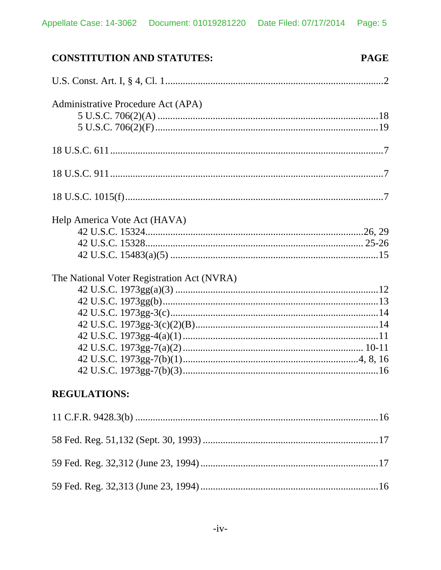| <b>CONSTITUTION AND STATUTES:</b>          | <b>PAGE</b> |
|--------------------------------------------|-------------|
|                                            |             |
| Administrative Procedure Act (APA)         |             |
|                                            |             |
|                                            |             |
|                                            |             |
|                                            |             |
|                                            |             |
| Help America Vote Act (HAVA)               |             |
|                                            |             |
|                                            |             |
|                                            |             |
| The National Voter Registration Act (NVRA) |             |
|                                            |             |
|                                            |             |
|                                            |             |
|                                            |             |
|                                            |             |
|                                            |             |
|                                            |             |
|                                            |             |
| <b>REGULATIONS:</b>                        |             |
|                                            |             |
|                                            |             |
|                                            |             |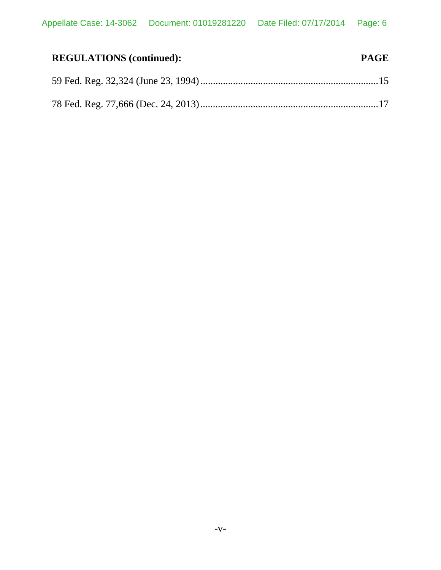| <b>REGULATIONS</b> (continued): | <b>PAGE</b> |
|---------------------------------|-------------|
|                                 |             |
|                                 |             |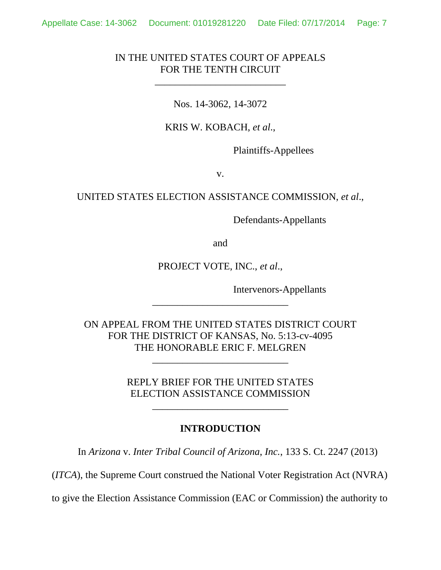### IN THE UNITED STATES COURT OF APPEALS FOR THE TENTH CIRCUIT

\_\_\_\_\_\_\_\_\_\_\_\_\_\_\_\_\_\_\_\_\_\_\_\_\_\_

Nos. 14-3062, 14-3072

KRIS W. KOBACH, *et al*.,

Plaintiffs-Appellees

v.

UNITED STATES ELECTION ASSISTANCE COMMISSION, *et al*.,

Defendants-Appellants

and

PROJECT VOTE, INC., *et al*.,

\_\_\_\_\_\_\_\_\_\_\_\_\_\_\_\_\_\_\_\_\_\_\_\_\_\_\_

Intervenors-Appellants

ON APPEAL FROM THE UNITED STATES DISTRICT COURT FOR THE DISTRICT OF KANSAS, No. 5:13-cv-4095 THE HONORABLE ERIC F. MELGREN

> REPLY BRIEF FOR THE UNITED STATES ELECTION ASSISTANCE COMMISSION

> > \_\_\_\_\_\_\_\_\_\_\_\_\_\_\_\_\_\_\_\_\_\_\_\_\_\_\_

\_\_\_\_\_\_\_\_\_\_\_\_\_\_\_\_\_\_\_\_\_\_\_\_\_\_\_

### **INTRODUCTION**

In *Arizona* v. *Inter Tribal Council of Arizona*, *Inc.*, 133 S. Ct. 2247 (2013)

(*ITCA*), the Supreme Court construed the National Voter Registration Act (NVRA)

to give the Election Assistance Commission (EAC or Commission) the authority to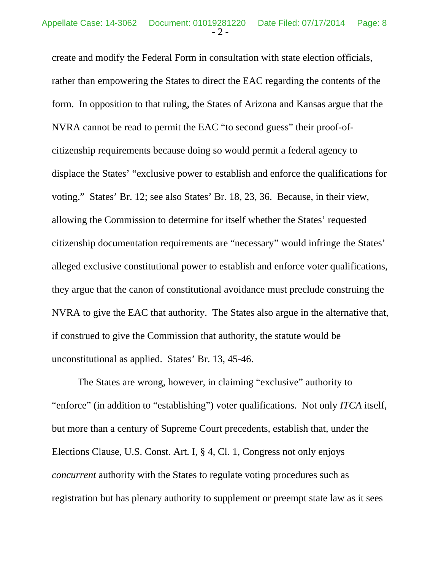create and modify the Federal Form in consultation with state election officials, rather than empowering the States to direct the EAC regarding the contents of the form. In opposition to that ruling, the States of Arizona and Kansas argue that the NVRA cannot be read to permit the EAC "to second guess" their proof-ofcitizenship requirements because doing so would permit a federal agency to displace the States' "exclusive power to establish and enforce the qualifications for voting." States' Br. 12; see also States' Br. 18, 23, 36. Because, in their view, allowing the Commission to determine for itself whether the States' requested citizenship documentation requirements are "necessary" would infringe the States' alleged exclusive constitutional power to establish and enforce voter qualifications, they argue that the canon of constitutional avoidance must preclude construing the NVRA to give the EAC that authority. The States also argue in the alternative that, if construed to give the Commission that authority, the statute would be unconstitutional as applied. States' Br. 13, 45-46.

The States are wrong, however, in claiming "exclusive" authority to "enforce" (in addition to "establishing") voter qualifications. Not only *ITCA* itself, but more than a century of Supreme Court precedents, establish that, under the Elections Clause, U.S. Const. Art. I, § 4, Cl. 1, Congress not only enjoys *concurrent* authority with the States to regulate voting procedures such as registration but has plenary authority to supplement or preempt state law as it sees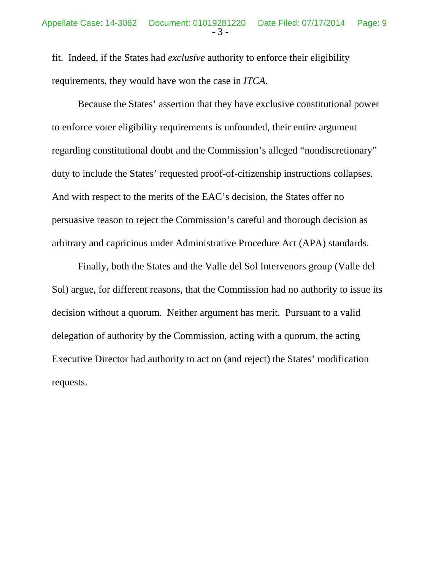fit. Indeed, if the States had *exclusive* authority to enforce their eligibility requirements, they would have won the case in *ITCA*.

Because the States' assertion that they have exclusive constitutional power to enforce voter eligibility requirements is unfounded, their entire argument regarding constitutional doubt and the Commission's alleged "nondiscretionary" duty to include the States' requested proof-of-citizenship instructions collapses. And with respect to the merits of the EAC's decision, the States offer no persuasive reason to reject the Commission's careful and thorough decision as arbitrary and capricious under Administrative Procedure Act (APA) standards.

Finally, both the States and the Valle del Sol Intervenors group (Valle del Sol) argue, for different reasons, that the Commission had no authority to issue its decision without a quorum. Neither argument has merit. Pursuant to a valid delegation of authority by the Commission, acting with a quorum, the acting Executive Director had authority to act on (and reject) the States' modification requests.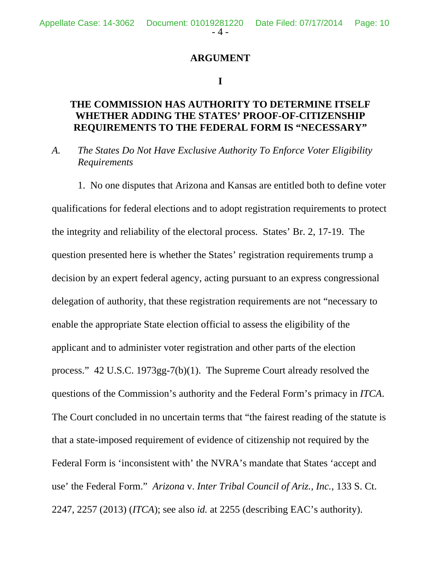### **ARGUMENT**

### **I**

# **THE COMMISSION HAS AUTHORITY TO DETERMINE ITSELF WHETHER ADDING THE STATES' PROOF-OF-CITIZENSHIP REQUIREMENTS TO THE FEDERAL FORM IS "NECESSARY"**

*A. The States Do Not Have Exclusive Authority To Enforce Voter Eligibility Requirements* 

 1. No one disputes that Arizona and Kansas are entitled both to define voter qualifications for federal elections and to adopt registration requirements to protect the integrity and reliability of the electoral process. States' Br. 2, 17-19. The question presented here is whether the States' registration requirements trump a decision by an expert federal agency, acting pursuant to an express congressional delegation of authority, that these registration requirements are not "necessary to enable the appropriate State election official to assess the eligibility of the applicant and to administer voter registration and other parts of the election process." 42 U.S.C. 1973gg-7(b)(1). The Supreme Court already resolved the questions of the Commission's authority and the Federal Form's primacy in *ITCA*. The Court concluded in no uncertain terms that "the fairest reading of the statute is that a state-imposed requirement of evidence of citizenship not required by the Federal Form is 'inconsistent with' the NVRA's mandate that States 'accept and use' the Federal Form." *Arizona* v. *Inter Tribal Council of Ariz., Inc.*, 133 S. Ct. 2247, 2257 (2013) (*ITCA*); see also *id.* at 2255 (describing EAC's authority).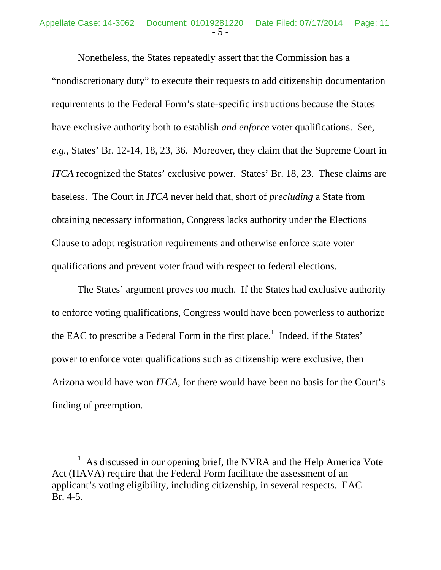Nonetheless, the States repeatedly assert that the Commission has a "nondiscretionary duty" to execute their requests to add citizenship documentation requirements to the Federal Form's state-specific instructions because the States have exclusive authority both to establish *and enforce* voter qualifications. See, *e.g.*, States' Br. 12-14, 18, 23, 36. Moreover, they claim that the Supreme Court in *ITCA* recognized the States' exclusive power. States' Br. 18, 23. These claims are baseless. The Court in *ITCA* never held that, short of *precluding* a State from obtaining necessary information, Congress lacks authority under the Elections Clause to adopt registration requirements and otherwise enforce state voter qualifications and prevent voter fraud with respect to federal elections.

The States' argument proves too much. If the States had exclusive authority to enforce voting qualifications, Congress would have been powerless to authorize the EAC to prescribe a Federal Form in the first place.<sup>1</sup> Indeed, if the States' power to enforce voter qualifications such as citizenship were exclusive, then Arizona would have won *ITCA*, for there would have been no basis for the Court's finding of preemption.

<sup>&</sup>lt;sup>1</sup> As discussed in our opening brief, the NVRA and the Help America Vote Act (HAVA) require that the Federal Form facilitate the assessment of an applicant's voting eligibility, including citizenship, in several respects. EAC Br. 4-5.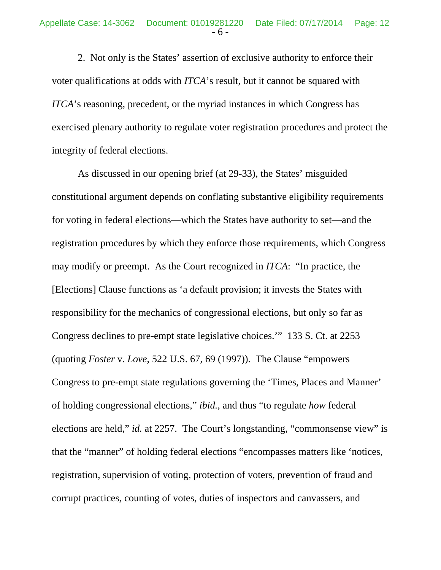2. Not only is the States' assertion of exclusive authority to enforce their voter qualifications at odds with *ITCA*'s result, but it cannot be squared with *ITCA*'s reasoning, precedent, or the myriad instances in which Congress has exercised plenary authority to regulate voter registration procedures and protect the integrity of federal elections.

As discussed in our opening brief (at 29-33), the States' misguided constitutional argument depends on conflating substantive eligibility requirements for voting in federal elections—which the States have authority to set—and the registration procedures by which they enforce those requirements, which Congress may modify or preempt. As the Court recognized in *ITCA*: "In practice, the [Elections] Clause functions as 'a default provision; it invests the States with responsibility for the mechanics of congressional elections, but only so far as Congress declines to pre-empt state legislative choices.'" 133 S. Ct. at 2253 (quoting *Foster* v. *Love*, 522 U.S. 67, 69 (1997)). The Clause "empowers Congress to pre-empt state regulations governing the 'Times, Places and Manner' of holding congressional elections," *ibid.*, and thus "to regulate *how* federal elections are held," *id.* at 2257. The Court's longstanding, "commonsense view" is that the "manner" of holding federal elections "encompasses matters like 'notices, registration, supervision of voting, protection of voters, prevention of fraud and corrupt practices, counting of votes, duties of inspectors and canvassers, and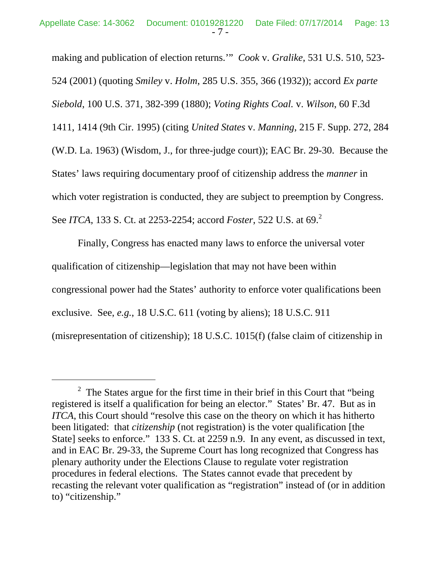making and publication of election returns.'" *Cook* v. *Gralike*, 531 U.S. 510, 523- 524 (2001) (quoting *Smiley* v. *Holm*, 285 U.S. 355, 366 (1932)); accord *Ex parte Siebold*, 100 U.S. 371, 382-399 (1880); *Voting Rights Coal.* v. *Wilson*, 60 F.3d 1411, 1414 (9th Cir. 1995) (citing *United States* v. *Manning*, 215 F. Supp. 272, 284 (W.D. La. 1963) (Wisdom, J., for three-judge court)); EAC Br. 29-30. Because the States' laws requiring documentary proof of citizenship address the *manner* in which voter registration is conducted, they are subject to preemption by Congress. See *ITCA*, 133 S. Ct. at 2253-2254; accord *Foster*, 522 U.S. at 69.<sup>2</sup>

Finally, Congress has enacted many laws to enforce the universal voter qualification of citizenship—legislation that may not have been within congressional power had the States' authority to enforce voter qualifications been exclusive. See, *e.g.*, 18 U.S.C. 611 (voting by aliens); 18 U.S.C. 911 (misrepresentation of citizenship); 18 U.S.C. 1015(f) (false claim of citizenship in

<sup>&</sup>lt;sup>2</sup> The States argue for the first time in their brief in this Court that "being" registered is itself a qualification for being an elector." States' Br. 47. But as in *ITCA*, this Court should "resolve this case on the theory on which it has hitherto been litigated: that *citizenship* (not registration) is the voter qualification [the State] seeks to enforce." 133 S. Ct. at 2259 n.9. In any event, as discussed in text, and in EAC Br. 29-33, the Supreme Court has long recognized that Congress has plenary authority under the Elections Clause to regulate voter registration procedures in federal elections. The States cannot evade that precedent by recasting the relevant voter qualification as "registration" instead of (or in addition to) "citizenship."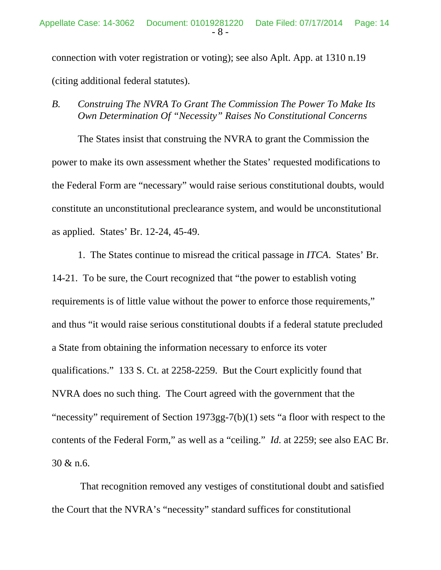connection with voter registration or voting); see also Aplt. App. at 1310 n.19 (citing additional federal statutes).

*B. Construing The NVRA To Grant The Commission The Power To Make Its Own Determination Of "Necessity" Raises No Constitutional Concerns* 

The States insist that construing the NVRA to grant the Commission the power to make its own assessment whether the States' requested modifications to the Federal Form are "necessary" would raise serious constitutional doubts, would constitute an unconstitutional preclearance system, and would be unconstitutional as applied. States' Br. 12-24, 45-49.

1. The States continue to misread the critical passage in *ITCA*. States' Br. 14-21. To be sure, the Court recognized that "the power to establish voting requirements is of little value without the power to enforce those requirements," and thus "it would raise serious constitutional doubts if a federal statute precluded a State from obtaining the information necessary to enforce its voter qualifications." 133 S. Ct. at 2258-2259. But the Court explicitly found that NVRA does no such thing. The Court agreed with the government that the "necessity" requirement of Section 1973gg-7(b)(1) sets "a floor with respect to the contents of the Federal Form," as well as a "ceiling." *Id.* at 2259; see also EAC Br. 30 & n.6.

 That recognition removed any vestiges of constitutional doubt and satisfied the Court that the NVRA's "necessity" standard suffices for constitutional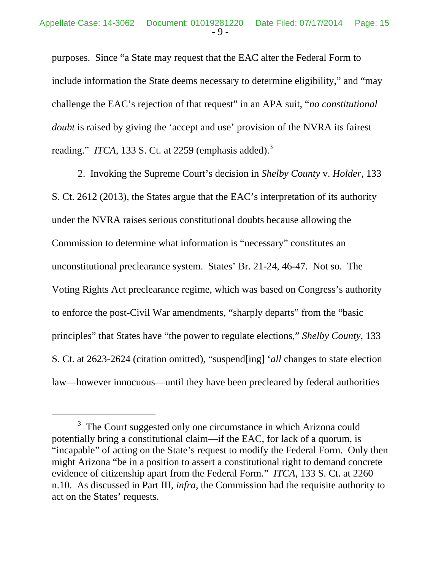purposes. Since "a State may request that the EAC alter the Federal Form to include information the State deems necessary to determine eligibility," and "may challenge the EAC's rejection of that request" in an APA suit, "*no constitutional doubt* is raised by giving the 'accept and use' provision of the NVRA its fairest reading." *ITCA*, 133 S. Ct. at 2259 (emphasis added).<sup>3</sup>

2. Invoking the Supreme Court's decision in *Shelby County* v. *Holder*, 133 S. Ct. 2612 (2013), the States argue that the EAC's interpretation of its authority under the NVRA raises serious constitutional doubts because allowing the Commission to determine what information is "necessary" constitutes an unconstitutional preclearance system. States' Br. 21-24, 46-47. Not so. The Voting Rights Act preclearance regime, which was based on Congress's authority to enforce the post-Civil War amendments, "sharply departs" from the "basic principles" that States have "the power to regulate elections," *Shelby County*, 133 S. Ct. at 2623-2624 (citation omitted), "suspend[ing] '*all* changes to state election law—however innocuous—until they have been precleared by federal authorities

<sup>&</sup>lt;sup>3</sup> The Court suggested only one circumstance in which Arizona could potentially bring a constitutional claim—if the EAC, for lack of a quorum, is "incapable" of acting on the State's request to modify the Federal Form. Only then might Arizona "be in a position to assert a constitutional right to demand concrete evidence of citizenship apart from the Federal Form." *ITCA*, 133 S. Ct. at 2260 n.10. As discussed in Part III, *infra*, the Commission had the requisite authority to act on the States' requests.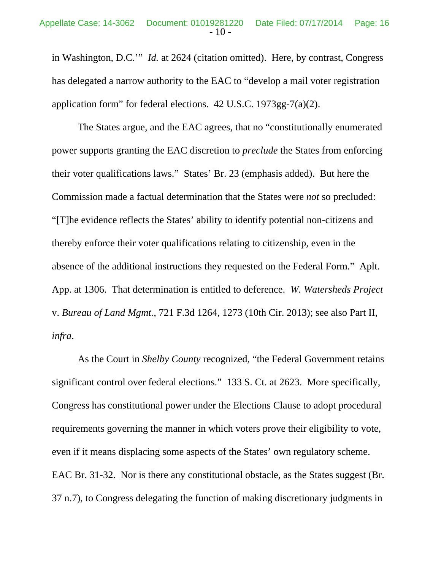in Washington, D.C.'" *Id.* at 2624 (citation omitted). Here, by contrast, Congress has delegated a narrow authority to the EAC to "develop a mail voter registration application form" for federal elections. 42 U.S.C. 1973gg-7(a)(2).

The States argue, and the EAC agrees, that no "constitutionally enumerated power supports granting the EAC discretion to *preclude* the States from enforcing their voter qualifications laws." States' Br. 23 (emphasis added). But here the Commission made a factual determination that the States were *not* so precluded: "[T]he evidence reflects the States' ability to identify potential non-citizens and thereby enforce their voter qualifications relating to citizenship, even in the absence of the additional instructions they requested on the Federal Form." Aplt. App. at 1306. That determination is entitled to deference. *W. Watersheds Project* v. *Bureau of Land Mgmt.*, 721 F.3d 1264, 1273 (10th Cir. 2013); see also Part II, *infra*.

As the Court in *Shelby County* recognized, "the Federal Government retains significant control over federal elections." 133 S. Ct. at 2623. More specifically, Congress has constitutional power under the Elections Clause to adopt procedural requirements governing the manner in which voters prove their eligibility to vote, even if it means displacing some aspects of the States' own regulatory scheme. EAC Br. 31-32. Nor is there any constitutional obstacle, as the States suggest (Br. 37 n.7), to Congress delegating the function of making discretionary judgments in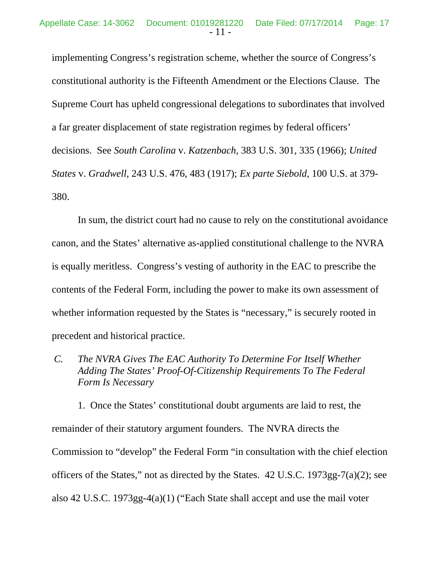implementing Congress's registration scheme, whether the source of Congress's constitutional authority is the Fifteenth Amendment or the Elections Clause. The Supreme Court has upheld congressional delegations to subordinates that involved a far greater displacement of state registration regimes by federal officers' decisions. See *South Carolina* v. *Katzenbach*, 383 U.S. 301, 335 (1966); *United States* v. *Gradwell*, 243 U.S. 476, 483 (1917); *Ex parte Siebold*, 100 U.S. at 379- 380.

In sum, the district court had no cause to rely on the constitutional avoidance canon, and the States' alternative as-applied constitutional challenge to the NVRA is equally meritless. Congress's vesting of authority in the EAC to prescribe the contents of the Federal Form, including the power to make its own assessment of whether information requested by the States is "necessary," is securely rooted in precedent and historical practice.

*C. The NVRA Gives The EAC Authority To Determine For Itself Whether Adding The States' Proof-Of-Citizenship Requirements To The Federal Form Is Necessary*

1. Once the States' constitutional doubt arguments are laid to rest, the remainder of their statutory argument founders. The NVRA directs the Commission to "develop" the Federal Form "in consultation with the chief election officers of the States," not as directed by the States. 42 U.S.C. 1973gg-7(a)(2); see also 42 U.S.C. 1973gg-4(a)(1) ("Each State shall accept and use the mail voter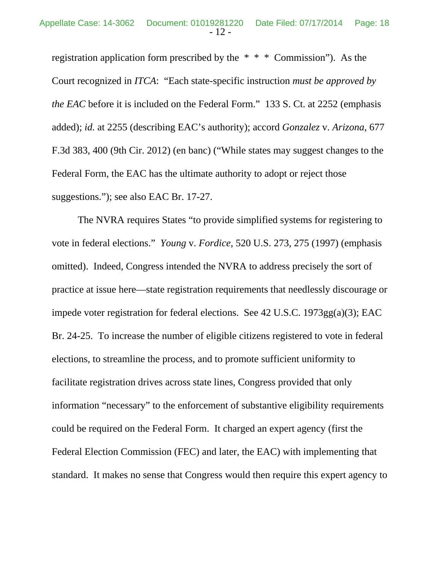registration application form prescribed by the \* \* \* Commission"). As the Court recognized in *ITCA*: "Each state-specific instruction *must be approved by the EAC* before it is included on the Federal Form." 133 S. Ct. at 2252 (emphasis added); *id.* at 2255 (describing EAC's authority); accord *Gonzalez* v. *Arizona*, 677 F.3d 383, 400 (9th Cir. 2012) (en banc) ("While states may suggest changes to the Federal Form, the EAC has the ultimate authority to adopt or reject those suggestions."); see also EAC Br. 17-27.

The NVRA requires States "to provide simplified systems for registering to vote in federal elections." *Young* v. *Fordice*, 520 U.S. 273, 275 (1997) (emphasis omitted). Indeed, Congress intended the NVRA to address precisely the sort of practice at issue here—state registration requirements that needlessly discourage or impede voter registration for federal elections. See 42 U.S.C. 1973gg(a)(3); EAC Br. 24-25. To increase the number of eligible citizens registered to vote in federal elections, to streamline the process, and to promote sufficient uniformity to facilitate registration drives across state lines, Congress provided that only information "necessary" to the enforcement of substantive eligibility requirements could be required on the Federal Form. It charged an expert agency (first the Federal Election Commission (FEC) and later, the EAC) with implementing that standard. It makes no sense that Congress would then require this expert agency to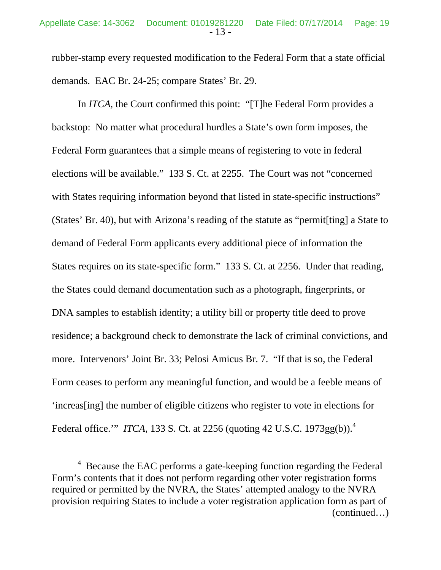rubber-stamp every requested modification to the Federal Form that a state official demands. EAC Br. 24-25; compare States' Br. 29.

 In *ITCA*, the Court confirmed this point: "[T]he Federal Form provides a backstop: No matter what procedural hurdles a State's own form imposes, the Federal Form guarantees that a simple means of registering to vote in federal elections will be available." 133 S. Ct. at 2255. The Court was not "concerned with States requiring information beyond that listed in state-specific instructions" (States' Br. 40), but with Arizona's reading of the statute as "permit[ting] a State to demand of Federal Form applicants every additional piece of information the States requires on its state-specific form." 133 S. Ct. at 2256. Under that reading, the States could demand documentation such as a photograph, fingerprints, or DNA samples to establish identity; a utility bill or property title deed to prove residence; a background check to demonstrate the lack of criminal convictions, and more. Intervenors' Joint Br. 33; Pelosi Amicus Br. 7. "If that is so, the Federal Form ceases to perform any meaningful function, and would be a feeble means of 'increas[ing] the number of eligible citizens who register to vote in elections for Federal office.'" *ITCA*, 133 S. Ct. at 2256 (quoting 42 U.S.C. 1973gg(b)).<sup>4</sup>

 $4$  Because the EAC performs a gate-keeping function regarding the Federal Form's contents that it does not perform regarding other voter registration forms required or permitted by the NVRA, the States' attempted analogy to the NVRA provision requiring States to include a voter registration application form as part of (continued…)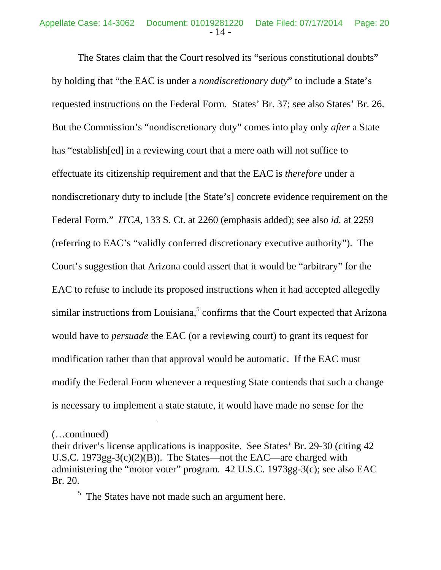The States claim that the Court resolved its "serious constitutional doubts" by holding that "the EAC is under a *nondiscretionary duty*" to include a State's requested instructions on the Federal Form. States' Br. 37; see also States' Br. 26. But the Commission's "nondiscretionary duty" comes into play only *after* a State has "establish[ed] in a reviewing court that a mere oath will not suffice to effectuate its citizenship requirement and that the EAC is *therefore* under a nondiscretionary duty to include [the State's] concrete evidence requirement on the Federal Form." *ITCA*, 133 S. Ct. at 2260 (emphasis added); see also *id.* at 2259 (referring to EAC's "validly conferred discretionary executive authority"). The Court's suggestion that Arizona could assert that it would be "arbitrary" for the EAC to refuse to include its proposed instructions when it had accepted allegedly similar instructions from Louisiana, $5$  confirms that the Court expected that Arizona would have to *persuade* the EAC (or a reviewing court) to grant its request for modification rather than that approval would be automatic. If the EAC must modify the Federal Form whenever a requesting State contends that such a change is necessary to implement a state statute, it would have made no sense for the

<sup>(…</sup>continued)

their driver's license applications is inapposite. See States' Br. 29-30 (citing 42 U.S.C. 1973gg-3(c)(2)(B)). The States—not the EAC—are charged with administering the "motor voter" program. 42 U.S.C. 1973gg-3(c); see also EAC Br. 20.

 $<sup>5</sup>$  The States have not made such an argument here.</sup>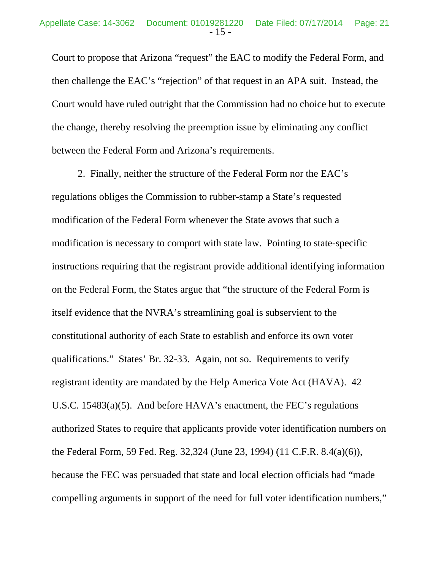Court to propose that Arizona "request" the EAC to modify the Federal Form, and then challenge the EAC's "rejection" of that request in an APA suit. Instead, the Court would have ruled outright that the Commission had no choice but to execute the change, thereby resolving the preemption issue by eliminating any conflict between the Federal Form and Arizona's requirements.

 2. Finally, neither the structure of the Federal Form nor the EAC's regulations obliges the Commission to rubber-stamp a State's requested modification of the Federal Form whenever the State avows that such a modification is necessary to comport with state law. Pointing to state-specific instructions requiring that the registrant provide additional identifying information on the Federal Form, the States argue that "the structure of the Federal Form is itself evidence that the NVRA's streamlining goal is subservient to the constitutional authority of each State to establish and enforce its own voter qualifications." States' Br. 32-33. Again, not so. Requirements to verify registrant identity are mandated by the Help America Vote Act (HAVA). 42 U.S.C. 15483(a)(5). And before HAVA's enactment, the FEC's regulations authorized States to require that applicants provide voter identification numbers on the Federal Form, 59 Fed. Reg. 32,324 (June 23, 1994) (11 C.F.R. 8.4(a)(6)), because the FEC was persuaded that state and local election officials had "made compelling arguments in support of the need for full voter identification numbers,"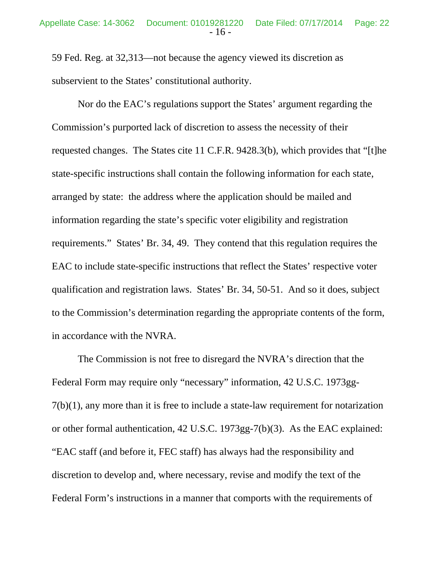59 Fed. Reg. at 32,313—not because the agency viewed its discretion as subservient to the States' constitutional authority.

 Nor do the EAC's regulations support the States' argument regarding the Commission's purported lack of discretion to assess the necessity of their requested changes. The States cite 11 C.F.R. 9428.3(b), which provides that "[t]he state-specific instructions shall contain the following information for each state, arranged by state: the address where the application should be mailed and information regarding the state's specific voter eligibility and registration requirements." States' Br. 34, 49. They contend that this regulation requires the EAC to include state-specific instructions that reflect the States' respective voter qualification and registration laws. States' Br. 34, 50-51. And so it does, subject to the Commission's determination regarding the appropriate contents of the form, in accordance with the NVRA.

The Commission is not free to disregard the NVRA's direction that the Federal Form may require only "necessary" information, 42 U.S.C. 1973gg-7(b)(1), any more than it is free to include a state-law requirement for notarization or other formal authentication, 42 U.S.C. 1973gg-7(b)(3). As the EAC explained: "EAC staff (and before it, FEC staff) has always had the responsibility and discretion to develop and, where necessary, revise and modify the text of the Federal Form's instructions in a manner that comports with the requirements of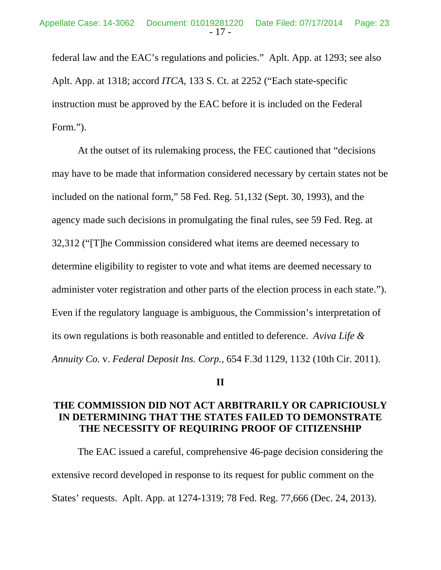federal law and the EAC's regulations and policies." Aplt. App. at 1293; see also Aplt. App. at 1318; accord *ITCA*, 133 S. Ct. at 2252 ("Each state-specific instruction must be approved by the EAC before it is included on the Federal Form.").

At the outset of its rulemaking process, the FEC cautioned that "decisions may have to be made that information considered necessary by certain states not be included on the national form," 58 Fed. Reg. 51,132 (Sept. 30, 1993), and the agency made such decisions in promulgating the final rules, see 59 Fed. Reg. at 32,312 ("[T]he Commission considered what items are deemed necessary to determine eligibility to register to vote and what items are deemed necessary to administer voter registration and other parts of the election process in each state."). Even if the regulatory language is ambiguous, the Commission's interpretation of its own regulations is both reasonable and entitled to deference. *Aviva Life & Annuity Co.* v. *Federal Deposit Ins. Corp.*, 654 F.3d 1129, 1132 (10th Cir. 2011).

### **II**

# **THE COMMISSION DID NOT ACT ARBITRARILY OR CAPRICIOUSLY IN DETERMINING THAT THE STATES FAILED TO DEMONSTRATE THE NECESSITY OF REQUIRING PROOF OF CITIZENSHIP**

 The EAC issued a careful, comprehensive 46-page decision considering the extensive record developed in response to its request for public comment on the States' requests. Aplt. App. at 1274-1319; 78 Fed. Reg. 77,666 (Dec. 24, 2013).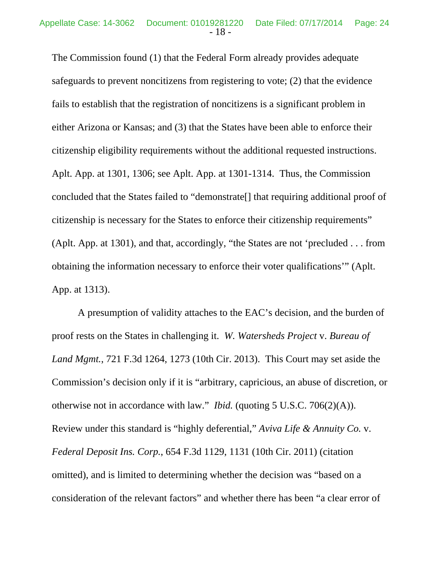The Commission found (1) that the Federal Form already provides adequate safeguards to prevent noncitizens from registering to vote; (2) that the evidence fails to establish that the registration of noncitizens is a significant problem in either Arizona or Kansas; and (3) that the States have been able to enforce their citizenship eligibility requirements without the additional requested instructions. Aplt. App. at 1301, 1306; see Aplt. App. at 1301-1314. Thus, the Commission concluded that the States failed to "demonstrate[] that requiring additional proof of citizenship is necessary for the States to enforce their citizenship requirements" (Aplt. App. at 1301), and that, accordingly, "the States are not 'precluded . . . from obtaining the information necessary to enforce their voter qualifications'" (Aplt. App. at 1313).

A presumption of validity attaches to the EAC's decision, and the burden of proof rests on the States in challenging it. *W. Watersheds Project* v. *Bureau of Land Mgmt.*, 721 F.3d 1264, 1273 (10th Cir. 2013). This Court may set aside the Commission's decision only if it is "arbitrary, capricious, an abuse of discretion, or otherwise not in accordance with law." *Ibid.* (quoting 5 U.S.C. 706(2)(A)). Review under this standard is "highly deferential," *Aviva Life & Annuity Co.* v. *Federal Deposit Ins. Corp.*, 654 F.3d 1129, 1131 (10th Cir. 2011) (citation omitted), and is limited to determining whether the decision was "based on a consideration of the relevant factors" and whether there has been "a clear error of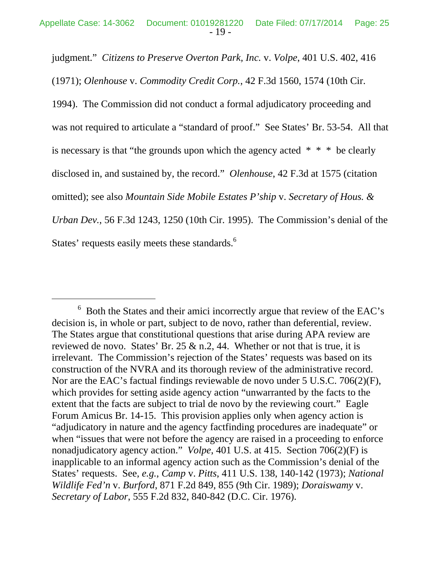judgment." *Citizens to Preserve Overton Park, Inc.* v. *Volpe*, 401 U.S. 402, 416

(1971); *Olenhouse* v. *Commodity Credit Corp.*, 42 F.3d 1560, 1574 (10th Cir.

1994). The Commission did not conduct a formal adjudicatory proceeding and was not required to articulate a "standard of proof." See States' Br. 53-54. All that is necessary is that "the grounds upon which the agency acted  $* * *$  be clearly disclosed in, and sustained by, the record." *Olenhouse*, 42 F.3d at 1575 (citation omitted); see also *Mountain Side Mobile Estates P'ship* v. *Secretary of Hous. & Urban Dev.*, 56 F.3d 1243, 1250 (10th Cir. 1995). The Commission's denial of the States' requests easily meets these standards.<sup>6</sup>

 $6\,$  Both the States and their amici incorrectly argue that review of the EAC's decision is, in whole or part, subject to de novo, rather than deferential, review. The States argue that constitutional questions that arise during APA review are reviewed de novo. States' Br. 25  $\&$  n.2, 44. Whether or not that is true, it is irrelevant. The Commission's rejection of the States' requests was based on its construction of the NVRA and its thorough review of the administrative record. Nor are the EAC's factual findings reviewable de novo under 5 U.S.C. 706(2)(F), which provides for setting aside agency action "unwarranted by the facts to the extent that the facts are subject to trial de novo by the reviewing court." Eagle Forum Amicus Br. 14-15. This provision applies only when agency action is "adjudicatory in nature and the agency factfinding procedures are inadequate" or when "issues that were not before the agency are raised in a proceeding to enforce nonadjudicatory agency action." *Volpe*, 401 U.S. at 415. Section 706(2)(F) is inapplicable to an informal agency action such as the Commission's denial of the States' requests. See, *e.g.*, *Camp* v. *Pitts*, 411 U.S. 138, 140-142 (1973); *National Wildlife Fed'n* v. *Burford*, 871 F.2d 849, 855 (9th Cir. 1989); *Doraiswamy* v. *Secretary of Labor*, 555 F.2d 832, 840-842 (D.C. Cir. 1976).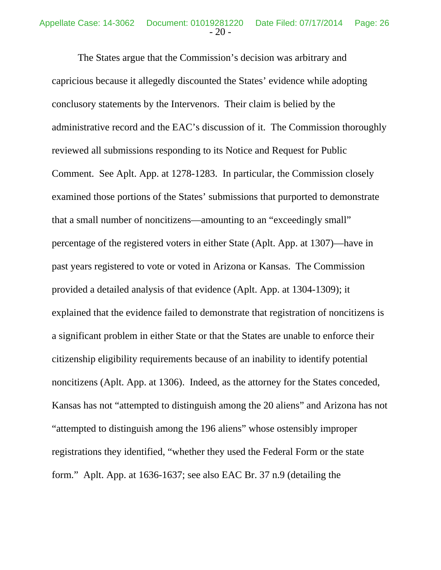The States argue that the Commission's decision was arbitrary and capricious because it allegedly discounted the States' evidence while adopting conclusory statements by the Intervenors. Their claim is belied by the administrative record and the EAC's discussion of it. The Commission thoroughly reviewed all submissions responding to its Notice and Request for Public Comment. See Aplt. App. at 1278-1283. In particular, the Commission closely examined those portions of the States' submissions that purported to demonstrate that a small number of noncitizens—amounting to an "exceedingly small" percentage of the registered voters in either State (Aplt. App. at 1307)—have in past years registered to vote or voted in Arizona or Kansas. The Commission provided a detailed analysis of that evidence (Aplt. App. at 1304-1309); it explained that the evidence failed to demonstrate that registration of noncitizens is a significant problem in either State or that the States are unable to enforce their citizenship eligibility requirements because of an inability to identify potential noncitizens (Aplt. App. at 1306). Indeed, as the attorney for the States conceded, Kansas has not "attempted to distinguish among the 20 aliens" and Arizona has not "attempted to distinguish among the 196 aliens" whose ostensibly improper registrations they identified, "whether they used the Federal Form or the state form." Aplt. App. at 1636-1637; see also EAC Br. 37 n.9 (detailing the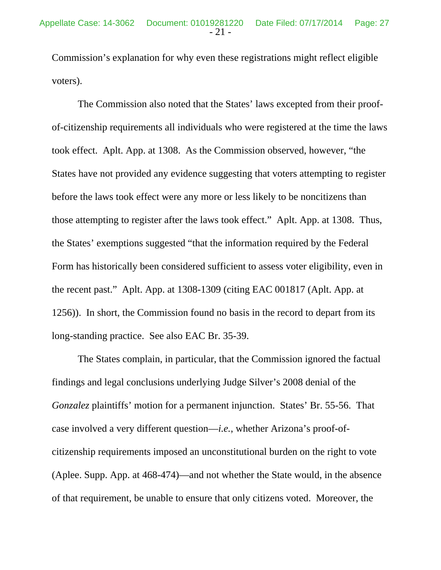Commission's explanation for why even these registrations might reflect eligible voters).

The Commission also noted that the States' laws excepted from their proofof-citizenship requirements all individuals who were registered at the time the laws took effect. Aplt. App. at 1308. As the Commission observed, however, "the States have not provided any evidence suggesting that voters attempting to register before the laws took effect were any more or less likely to be noncitizens than those attempting to register after the laws took effect." Aplt. App. at 1308. Thus, the States' exemptions suggested "that the information required by the Federal Form has historically been considered sufficient to assess voter eligibility, even in the recent past." Aplt. App. at 1308-1309 (citing EAC 001817 (Aplt. App. at 1256)). In short, the Commission found no basis in the record to depart from its long-standing practice. See also EAC Br. 35-39.

The States complain, in particular, that the Commission ignored the factual findings and legal conclusions underlying Judge Silver's 2008 denial of the *Gonzalez* plaintiffs' motion for a permanent injunction. States' Br. 55-56. That case involved a very different question—*i.e.*, whether Arizona's proof-ofcitizenship requirements imposed an unconstitutional burden on the right to vote (Aplee. Supp. App. at 468-474)—and not whether the State would, in the absence of that requirement, be unable to ensure that only citizens voted. Moreover, the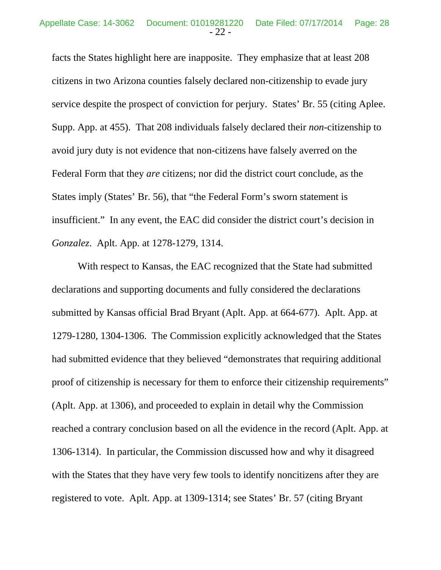facts the States highlight here are inapposite. They emphasize that at least 208 citizens in two Arizona counties falsely declared non-citizenship to evade jury service despite the prospect of conviction for perjury. States' Br. 55 (citing Aplee. Supp. App. at 455). That 208 individuals falsely declared their *non*-citizenship to avoid jury duty is not evidence that non-citizens have falsely averred on the Federal Form that they *are* citizens; nor did the district court conclude, as the States imply (States' Br. 56), that "the Federal Form's sworn statement is insufficient." In any event, the EAC did consider the district court's decision in *Gonzalez*. Aplt. App. at 1278-1279, 1314.

With respect to Kansas, the EAC recognized that the State had submitted declarations and supporting documents and fully considered the declarations submitted by Kansas official Brad Bryant (Aplt. App. at 664-677). Aplt. App. at 1279-1280, 1304-1306. The Commission explicitly acknowledged that the States had submitted evidence that they believed "demonstrates that requiring additional proof of citizenship is necessary for them to enforce their citizenship requirements" (Aplt. App. at 1306), and proceeded to explain in detail why the Commission reached a contrary conclusion based on all the evidence in the record (Aplt. App. at 1306-1314). In particular, the Commission discussed how and why it disagreed with the States that they have very few tools to identify noncitizens after they are registered to vote. Aplt. App. at 1309-1314; see States' Br. 57 (citing Bryant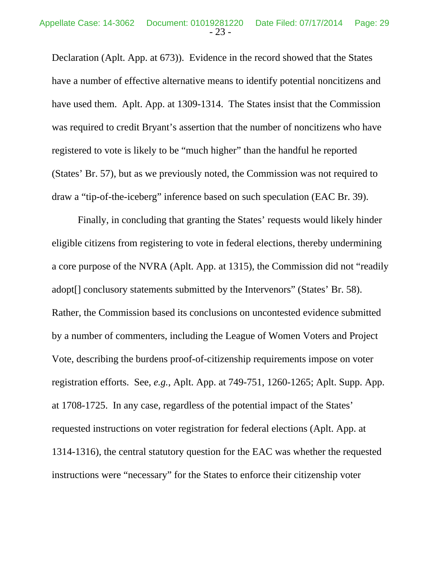Declaration (Aplt. App. at 673)). Evidence in the record showed that the States have a number of effective alternative means to identify potential noncitizens and have used them. Aplt. App. at 1309-1314. The States insist that the Commission was required to credit Bryant's assertion that the number of noncitizens who have registered to vote is likely to be "much higher" than the handful he reported (States' Br. 57), but as we previously noted, the Commission was not required to draw a "tip-of-the-iceberg" inference based on such speculation (EAC Br. 39).

Finally, in concluding that granting the States' requests would likely hinder eligible citizens from registering to vote in federal elections, thereby undermining a core purpose of the NVRA (Aplt. App. at 1315), the Commission did not "readily adopt[] conclusory statements submitted by the Intervenors" (States' Br. 58). Rather, the Commission based its conclusions on uncontested evidence submitted by a number of commenters, including the League of Women Voters and Project Vote, describing the burdens proof-of-citizenship requirements impose on voter registration efforts. See, *e.g.*, Aplt. App. at 749-751, 1260-1265; Aplt. Supp. App. at 1708-1725. In any case, regardless of the potential impact of the States' requested instructions on voter registration for federal elections (Aplt. App. at 1314-1316), the central statutory question for the EAC was whether the requested instructions were "necessary" for the States to enforce their citizenship voter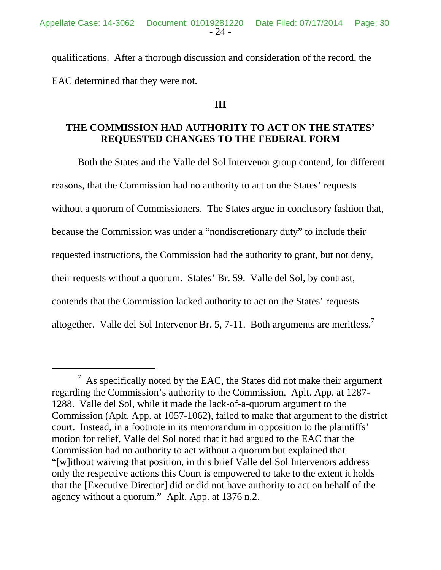qualifications. After a thorough discussion and consideration of the record, the EAC determined that they were not.

### **III**

# **THE COMMISSION HAD AUTHORITY TO ACT ON THE STATES' REQUESTED CHANGES TO THE FEDERAL FORM**

Both the States and the Valle del Sol Intervenor group contend, for different reasons, that the Commission had no authority to act on the States' requests without a quorum of Commissioners. The States argue in conclusory fashion that, because the Commission was under a "nondiscretionary duty" to include their requested instructions, the Commission had the authority to grant, but not deny, their requests without a quorum. States' Br. 59. Valle del Sol, by contrast, contends that the Commission lacked authority to act on the States' requests altogether. Valle del Sol Intervenor Br. 5, 7-11. Both arguments are meritless.<sup>7</sup>

 $\frac{7}{1}$  As specifically noted by the EAC, the States did not make their argument regarding the Commission's authority to the Commission. Aplt. App. at 1287- 1288. Valle del Sol, while it made the lack-of-a-quorum argument to the Commission (Aplt. App. at 1057-1062), failed to make that argument to the district court. Instead, in a footnote in its memorandum in opposition to the plaintiffs' motion for relief, Valle del Sol noted that it had argued to the EAC that the Commission had no authority to act without a quorum but explained that "[w]ithout waiving that position, in this brief Valle del Sol Intervenors address only the respective actions this Court is empowered to take to the extent it holds that the [Executive Director] did or did not have authority to act on behalf of the agency without a quorum." Aplt. App. at 1376 n.2.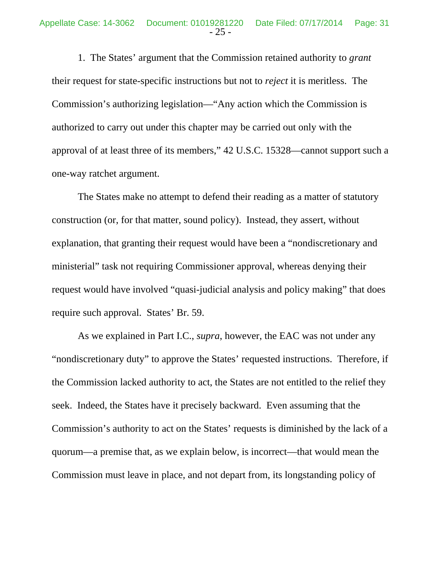1. The States' argument that the Commission retained authority to *grant* their request for state-specific instructions but not to *reject* it is meritless. The Commission's authorizing legislation—"Any action which the Commission is authorized to carry out under this chapter may be carried out only with the approval of at least three of its members," 42 U.S.C. 15328—cannot support such a one-way ratchet argument.

The States make no attempt to defend their reading as a matter of statutory construction (or, for that matter, sound policy). Instead, they assert, without explanation, that granting their request would have been a "nondiscretionary and ministerial" task not requiring Commissioner approval, whereas denying their request would have involved "quasi-judicial analysis and policy making" that does require such approval. States' Br. 59.

As we explained in Part I.C., *supra*, however, the EAC was not under any "nondiscretionary duty" to approve the States' requested instructions. Therefore, if the Commission lacked authority to act, the States are not entitled to the relief they seek. Indeed, the States have it precisely backward. Even assuming that the Commission's authority to act on the States' requests is diminished by the lack of a quorum—a premise that, as we explain below, is incorrect—that would mean the Commission must leave in place, and not depart from, its longstanding policy of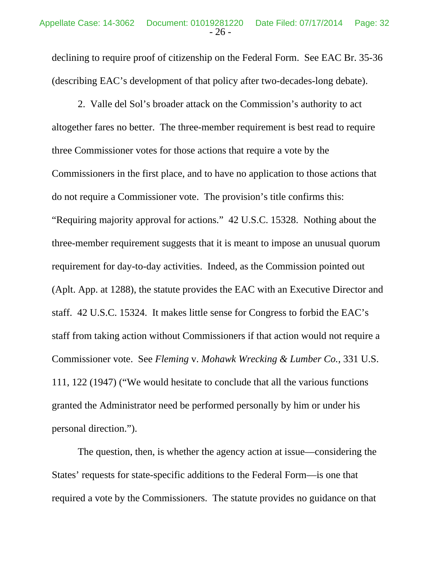declining to require proof of citizenship on the Federal Form. See EAC Br. 35-36 (describing EAC's development of that policy after two-decades-long debate).

2. Valle del Sol's broader attack on the Commission's authority to act altogether fares no better. The three-member requirement is best read to require three Commissioner votes for those actions that require a vote by the Commissioners in the first place, and to have no application to those actions that do not require a Commissioner vote. The provision's title confirms this: "Requiring majority approval for actions." 42 U.S.C. 15328. Nothing about the three-member requirement suggests that it is meant to impose an unusual quorum requirement for day-to-day activities. Indeed, as the Commission pointed out (Aplt. App. at 1288), the statute provides the EAC with an Executive Director and staff. 42 U.S.C. 15324. It makes little sense for Congress to forbid the EAC's staff from taking action without Commissioners if that action would not require a Commissioner vote. See *Fleming* v. *Mohawk Wrecking & Lumber Co.*, 331 U.S. 111, 122 (1947) ("We would hesitate to conclude that all the various functions granted the Administrator need be performed personally by him or under his personal direction.").

The question, then, is whether the agency action at issue—considering the States' requests for state-specific additions to the Federal Form—is one that required a vote by the Commissioners. The statute provides no guidance on that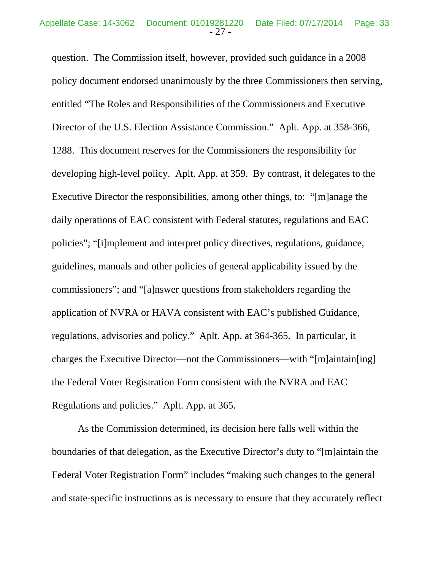question. The Commission itself, however, provided such guidance in a 2008 policy document endorsed unanimously by the three Commissioners then serving, entitled "The Roles and Responsibilities of the Commissioners and Executive Director of the U.S. Election Assistance Commission." Aplt. App. at 358-366, 1288. This document reserves for the Commissioners the responsibility for developing high-level policy. Aplt. App. at 359. By contrast, it delegates to the Executive Director the responsibilities, among other things, to: "[m]anage the daily operations of EAC consistent with Federal statutes, regulations and EAC policies"; "[i]mplement and interpret policy directives, regulations, guidance, guidelines, manuals and other policies of general applicability issued by the commissioners"; and "[a]nswer questions from stakeholders regarding the application of NVRA or HAVA consistent with EAC's published Guidance, regulations, advisories and policy." Aplt. App. at 364-365. In particular, it charges the Executive Director—not the Commissioners—with "[m]aintain[ing] the Federal Voter Registration Form consistent with the NVRA and EAC Regulations and policies." Aplt. App. at 365.

 As the Commission determined, its decision here falls well within the boundaries of that delegation, as the Executive Director's duty to "[m]aintain the Federal Voter Registration Form" includes "making such changes to the general and state-specific instructions as is necessary to ensure that they accurately reflect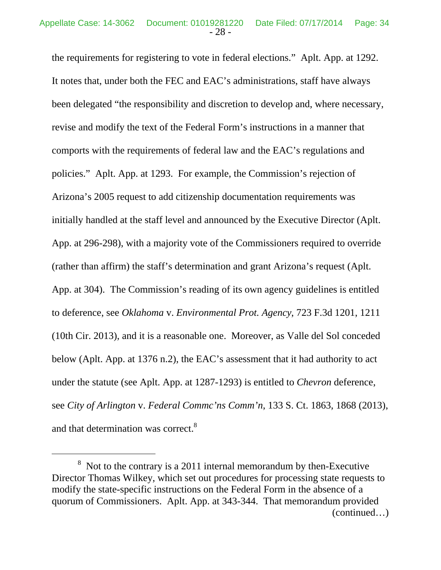the requirements for registering to vote in federal elections." Aplt. App. at 1292. It notes that, under both the FEC and EAC's administrations, staff have always been delegated "the responsibility and discretion to develop and, where necessary, revise and modify the text of the Federal Form's instructions in a manner that comports with the requirements of federal law and the EAC's regulations and policies." Aplt. App. at 1293. For example, the Commission's rejection of Arizona's 2005 request to add citizenship documentation requirements was initially handled at the staff level and announced by the Executive Director (Aplt. App. at 296-298), with a majority vote of the Commissioners required to override (rather than affirm) the staff's determination and grant Arizona's request (Aplt. App. at 304). The Commission's reading of its own agency guidelines is entitled to deference, see *Oklahoma* v. *Environmental Prot. Agency*, 723 F.3d 1201, 1211 (10th Cir. 2013), and it is a reasonable one. Moreover, as Valle del Sol conceded below (Aplt. App. at 1376 n.2), the EAC's assessment that it had authority to act under the statute (see Aplt. App. at 1287-1293) is entitled to *Chevron* deference, see *City of Arlington* v. *Federal Commc'ns Comm'n*, 133 S. Ct. 1863, 1868 (2013), and that determination was correct.<sup>8</sup>

 $8 \text{ Not to the contrary is a 2011 internal memorandum by then-Execute}$ Director Thomas Wilkey, which set out procedures for processing state requests to modify the state-specific instructions on the Federal Form in the absence of a quorum of Commissioners. Aplt. App. at 343-344. That memorandum provided (continued…)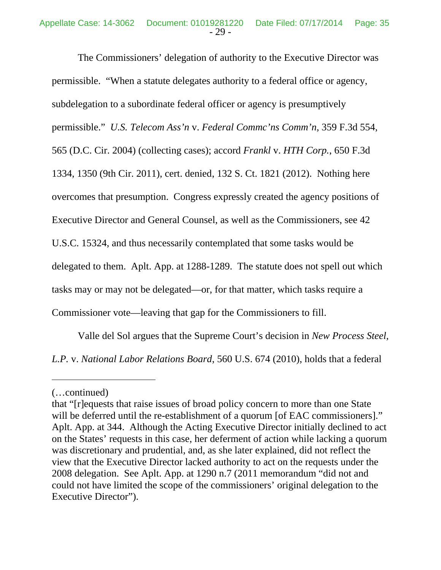The Commissioners' delegation of authority to the Executive Director was permissible. "When a statute delegates authority to a federal office or agency, subdelegation to a subordinate federal officer or agency is presumptively permissible." *U.S. Telecom Ass'n* v. *Federal Commc'ns Comm'n*, 359 F.3d 554, 565 (D.C. Cir. 2004) (collecting cases); accord *Frankl* v. *HTH Corp.*, 650 F.3d 1334, 1350 (9th Cir. 2011), cert. denied, 132 S. Ct. 1821 (2012). Nothing here overcomes that presumption. Congress expressly created the agency positions of Executive Director and General Counsel, as well as the Commissioners, see 42 U.S.C. 15324, and thus necessarily contemplated that some tasks would be delegated to them. Aplt. App. at 1288-1289. The statute does not spell out which tasks may or may not be delegated—or, for that matter, which tasks require a Commissioner vote—leaving that gap for the Commissioners to fill.

Valle del Sol argues that the Supreme Court's decision in *New Process Steel, L.P.* v. *National Labor Relations Board*, 560 U.S. 674 (2010), holds that a federal

<sup>(…</sup>continued)

that "[r]equests that raise issues of broad policy concern to more than one State will be deferred until the re-establishment of a quorum [of EAC commissioners]." Aplt. App. at 344. Although the Acting Executive Director initially declined to act on the States' requests in this case, her deferment of action while lacking a quorum was discretionary and prudential, and, as she later explained, did not reflect the view that the Executive Director lacked authority to act on the requests under the 2008 delegation. See Aplt. App. at 1290 n.7 (2011 memorandum "did not and could not have limited the scope of the commissioners' original delegation to the Executive Director").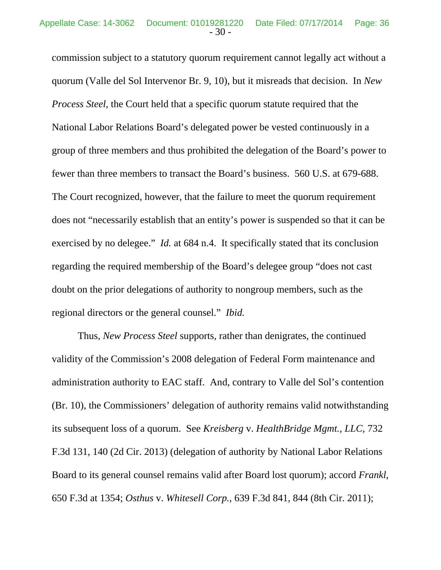commission subject to a statutory quorum requirement cannot legally act without a quorum (Valle del Sol Intervenor Br. 9, 10), but it misreads that decision. In *New Process Steel*, the Court held that a specific quorum statute required that the National Labor Relations Board's delegated power be vested continuously in a group of three members and thus prohibited the delegation of the Board's power to fewer than three members to transact the Board's business. 560 U.S. at 679-688. The Court recognized, however, that the failure to meet the quorum requirement does not "necessarily establish that an entity's power is suspended so that it can be exercised by no delegee." *Id.* at 684 n.4. It specifically stated that its conclusion regarding the required membership of the Board's delegee group "does not cast doubt on the prior delegations of authority to nongroup members, such as the regional directors or the general counsel." *Ibid.*

Thus, *New Process Steel* supports, rather than denigrates, the continued validity of the Commission's 2008 delegation of Federal Form maintenance and administration authority to EAC staff. And, contrary to Valle del Sol's contention (Br. 10), the Commissioners' delegation of authority remains valid notwithstanding its subsequent loss of a quorum. See *Kreisberg* v. *HealthBridge Mgmt., LLC*, 732 F.3d 131, 140 (2d Cir. 2013) (delegation of authority by National Labor Relations Board to its general counsel remains valid after Board lost quorum); accord *Frankl*, 650 F.3d at 1354; *Osthus* v. *Whitesell Corp.*, 639 F.3d 841, 844 (8th Cir. 2011);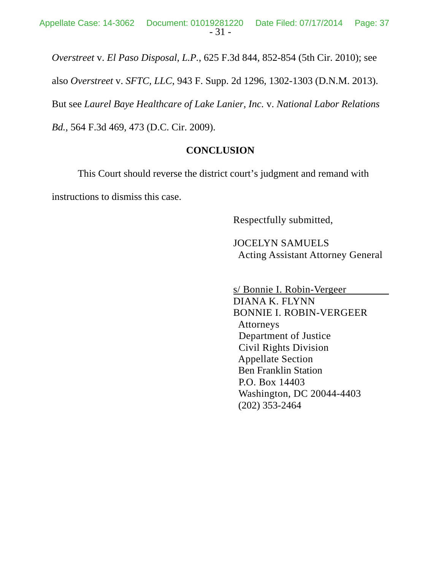*Overstreet* v. *El Paso Disposal*, *L.P.*, 625 F.3d 844, 852-854 (5th Cir. 2010); see

also *Overstreet* v. *SFTC, LLC*, 943 F. Supp. 2d 1296, 1302-1303 (D.N.M. 2013).

But see *Laurel Baye Healthcare of Lake Lanier, Inc.* v. *National Labor Relations* 

*Bd.*, 564 F.3d 469, 473 (D.C. Cir. 2009).

# **CONCLUSION**

This Court should reverse the district court's judgment and remand with instructions to dismiss this case.

Respectfully submitted,

 JOCELYN SAMUELS Acting Assistant Attorney General

 s/ Bonnie I. Robin-Vergeer DIANA K. FLYNN BONNIE I. ROBIN-VERGEER Attorneys Department of Justice Civil Rights Division Appellate Section Ben Franklin Station P.O. Box 14403 Washington, DC 20044-4403 (202) 353-2464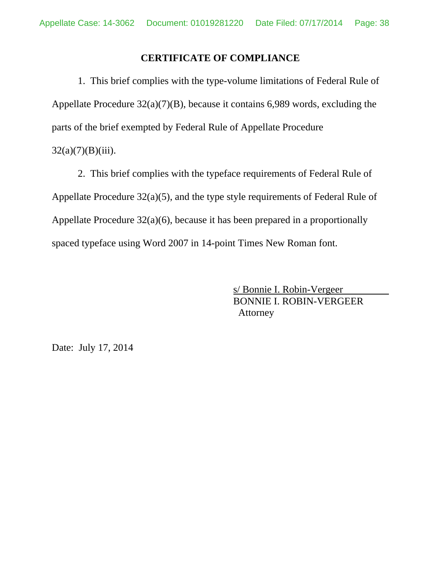### **CERTIFICATE OF COMPLIANCE**

1. This brief complies with the type-volume limitations of Federal Rule of Appellate Procedure 32(a)(7)(B), because it contains 6,989 words, excluding the parts of the brief exempted by Federal Rule of Appellate Procedure  $32(a)(7)(B)(iii)$ .

2. This brief complies with the typeface requirements of Federal Rule of Appellate Procedure 32(a)(5), and the type style requirements of Federal Rule of Appellate Procedure 32(a)(6), because it has been prepared in a proportionally spaced typeface using Word 2007 in 14-point Times New Roman font.

> s/ Bonnie I. Robin-Vergeer BONNIE I. ROBIN-VERGEER Attorney

Date: July 17, 2014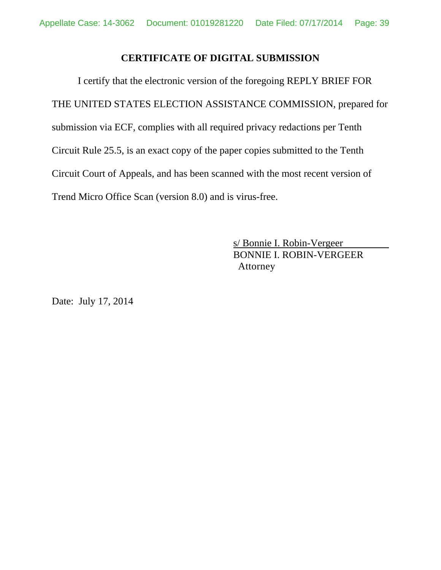## **CERTIFICATE OF DIGITAL SUBMISSION**

I certify that the electronic version of the foregoing REPLY BRIEF FOR THE UNITED STATES ELECTION ASSISTANCE COMMISSION, prepared for submission via ECF, complies with all required privacy redactions per Tenth Circuit Rule 25.5, is an exact copy of the paper copies submitted to the Tenth Circuit Court of Appeals, and has been scanned with the most recent version of Trend Micro Office Scan (version 8.0) and is virus-free.

> s/ Bonnie I. Robin-Vergeer BONNIE I. ROBIN-VERGEER Attorney

Date: July 17, 2014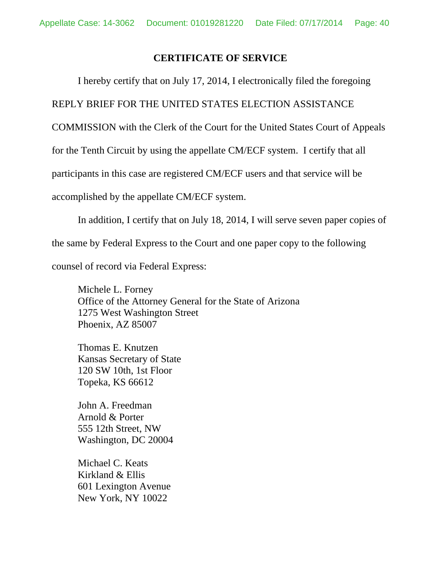### **CERTIFICATE OF SERVICE**

I hereby certify that on July 17, 2014, I electronically filed the foregoing

REPLY BRIEF FOR THE UNITED STATES ELECTION ASSISTANCE

COMMISSION with the Clerk of the Court for the United States Court of Appeals

for the Tenth Circuit by using the appellate CM/ECF system. I certify that all

participants in this case are registered CM/ECF users and that service will be

accomplished by the appellate CM/ECF system.

In addition, I certify that on July 18, 2014, I will serve seven paper copies of the same by Federal Express to the Court and one paper copy to the following counsel of record via Federal Express:

Michele L. Forney Office of the Attorney General for the State of Arizona 1275 West Washington Street Phoenix, AZ 85007

Thomas E. Knutzen Kansas Secretary of State 120 SW 10th, 1st Floor Topeka, KS 66612

John A. Freedman Arnold & Porter 555 12th Street, NW Washington, DC 20004

Michael C. Keats Kirkland & Ellis 601 Lexington Avenue New York, NY 10022